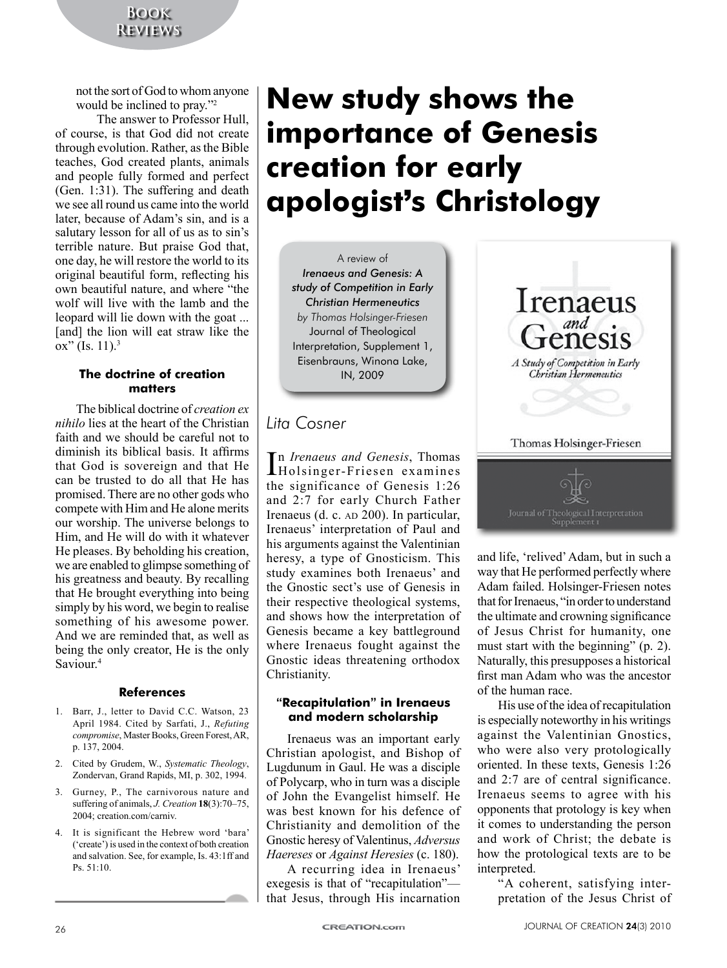not the sort of God to whom anyone would be inclined to pray."2

The answer to Professor Hull, of course, is that God did not create through evolution. Rather, as the Bible teaches, God created plants, animals and people fully formed and perfect (Gen. 1:31). The suffering and death we see all round us came into the world later, because of Adam's sin, and is a salutary lesson for all of us as to sin's terrible nature. But praise God that, one day, he will restore the world to its original beautiful form, reflecting his own beautiful nature, and where "the wolf will live with the lamb and the leopard will lie down with the goat ... [and] the lion will eat straw like the ox" (Is.  $11$ ).<sup>3</sup>

#### **The doctrine of creation matters**

The biblical doctrine of *creation ex nihilo* lies at the heart of the Christian faith and we should be careful not to diminish its biblical basis. It affirms that God is sovereign and that He can be trusted to do all that He has promised. There are no other gods who compete with Him and He alone merits our worship. The universe belongs to Him, and He will do with it whatever He pleases. By beholding his creation, we are enabled to glimpse something of his greatness and beauty. By recalling that He brought everything into being simply by his word, we begin to realise something of his awesome power. And we are reminded that, as well as being the only creator, He is the only Saviour.4

#### **References**

- 1. Barr, J., letter to David C.C. Watson, 23 April 1984. Cited by Sarfati, J., *Refuting compromise*, Master Books, Green Forest, AR, p. 137, 2004.
- 2. Cited by Grudem, W., *Systematic Theology*, Zondervan, Grand Rapids, MI, p. 302, 1994.
- 3. Gurney, P., The carnivorous nature and suffering of animals, *J. Creation* **18**(3):70–75, 2004; creation.com/carniv.
- 4. It is significant the Hebrew word 'bara' ('create') is used in the context of both creation and salvation. See, for example, Is. 43:1ff and Ps. 51:10.

# **New study shows the importance of Genesis creation for early apologist**'**s Christology**

A review of *Irenaeus and Genesis: A study of Competition in Early Christian Hermeneutics by Thomas Holsinger-Friesen* Journal of Theological Interpretation, Supplement 1, Eisenbrauns, Winona Lake, IN, 2009

# *Lita Cosner*

In *Irenaeus and Genesis*, Thomas<br>Holsinger-Friesen examines Holsinger-Friesen examines the significance of Genesis 1:26 and 2:7 for early Church Father Irenaeus (d. c. AD 200). In particular, Irenaeus' interpretation of Paul and his arguments against the Valentinian heresy, a type of Gnosticism. This study examines both Irenaeus' and the Gnostic sect's use of Genesis in their respective theological systems, and shows how the interpretation of Genesis became a key battleground where Irenaeus fought against the Gnostic ideas threatening orthodox Christianity.

#### **"Recapitulation" in Irenaeus and modern scholarship**

Irenaeus was an important early Christian apologist, and Bishop of Lugdunum in Gaul. He was a disciple of Polycarp, who in turn was a disciple of John the Evangelist himself. He was best known for his defence of Christianity and demolition of the Gnostic heresy of Valentinus, *Adversus Haereses* or *Against Heresies* (c. 180).

A recurring idea in Irenaeus' exegesis is that of "recapitulation" that Jesus, through His incarnation



and life, 'relived' Adam, but in such a way that He performed perfectly where Adam failed. Holsinger-Friesen notes that for Irenaeus, "in order to understand the ultimate and crowning significance of Jesus Christ for humanity, one must start with the beginning" (p. 2). Naturally, this presupposes a historical first man Adam who was the ancestor of the human race.

His use of the idea of recapitulation is especially noteworthy in his writings against the Valentinian Gnostics, who were also very protologically oriented. In these texts, Genesis 1:26 and 2:7 are of central significance. Irenaeus seems to agree with his opponents that protology is key when it comes to understanding the person and work of Christ; the debate is how the protological texts are to be interpreted.

"A coherent, satisfying interpretation of the Jesus Christ of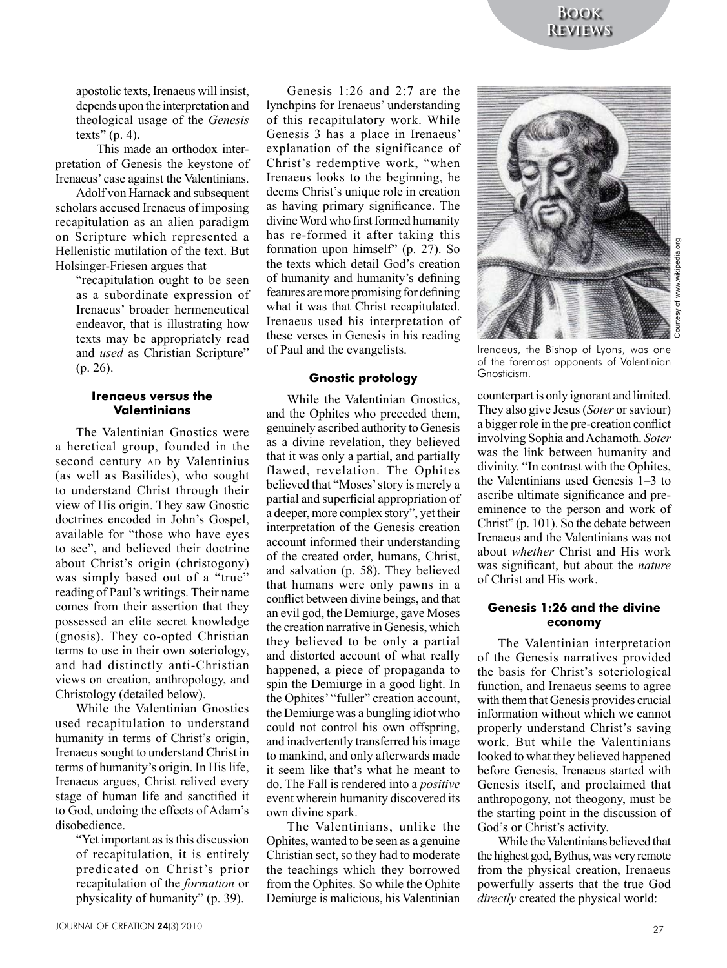apostolic texts, Irenaeus will insist, depends upon the interpretation and theological usage of the *Genesis*  texts"  $(p. 4)$ .

This made an orthodox interpretation of Genesis the keystone of Irenaeus' case against the Valentinians.

Adolf von Harnack and subsequent scholars accused Irenaeus of imposing recapitulation as an alien paradigm on Scripture which represented a Hellenistic mutilation of the text. But Holsinger-Friesen argues that

"recapitulation ought to be seen as a subordinate expression of Irenaeus' broader hermeneutical endeavor, that is illustrating how texts may be appropriately read and *used* as Christian Scripture" (p. 26).

#### **Irenaeus versus the Valentinians**

The Valentinian Gnostics were a heretical group, founded in the second century AD by Valentinius (as well as Basilides), who sought to understand Christ through their view of His origin. They saw Gnostic doctrines encoded in John's Gospel, available for "those who have eyes to see", and believed their doctrine about Christ's origin (christogony) was simply based out of a "true" reading of Paul's writings. Their name comes from their assertion that they possessed an elite secret knowledge (gnosis). They co-opted Christian terms to use in their own soteriology, and had distinctly anti-Christian views on creation, anthropology, and Christology (detailed below).

While the Valentinian Gnostics used recapitulation to understand humanity in terms of Christ's origin, Irenaeus sought to understand Christ in terms of humanity's origin. In His life, Irenaeus argues, Christ relived every stage of human life and sanctified it to God, undoing the effects of Adam's disobedience.

"Yet important as is this discussion of recapitulation, it is entirely predicated on Christ's prior recapitulation of the *formation* or physicality of humanity" (p. 39).

Genesis 1:26 and 2:7 are the lynchpins for Irenaeus' understanding of this recapitulatory work. While Genesis 3 has a place in Irenaeus' explanation of the significance of Christ's redemptive work, "when Irenaeus looks to the beginning, he deems Christ's unique role in creation as having primary significance. The divine Word who first formed humanity has re-formed it after taking this formation upon himself" (p. 27). So the texts which detail God's creation of humanity and humanity's defining features are more promising for defining what it was that Christ recapitulated. Irenaeus used his interpretation of these verses in Genesis in his reading of Paul and the evangelists.

#### **Gnostic protology**

While the Valentinian Gnostics, and the Ophites who preceded them, genuinely ascribed authority to Genesis as a divine revelation, they believed that it was only a partial, and partially flawed, revelation. The Ophites believed that "Moses' story is merely a partial and superficial appropriation of a deeper, more complex story", yet their interpretation of the Genesis creation account informed their understanding of the created order, humans, Christ, and salvation (p. 58). They believed that humans were only pawns in a conflict between divine beings, and that an evil god, the Demiurge, gave Moses the creation narrative in Genesis, which they believed to be only a partial and distorted account of what really happened, a piece of propaganda to spin the Demiurge in a good light. In the Ophites' "fuller" creation account, the Demiurge was a bungling idiot who could not control his own offspring, and inadvertently transferred his image to mankind, and only afterwards made it seem like that's what he meant to do. The Fall is rendered into a *positive* event wherein humanity discovered its own divine spark.

The Valentinians, unlike the Ophites, wanted to be seen as a genuine Christian sect, so they had to moderate the teachings which they borrowed from the Ophites. So while the Ophite Demiurge is malicious, his Valentinian



Courtesy of www.wikipedia.orgesy of www.wikipe

Irenaeus, the Bishop of Lyons, was one of the foremost opponents of Valentinian Gnosticism.

counterpart is only ignorant and limited. They also give Jesus (*Soter* or saviour) a bigger role in the pre-creation conflict involving Sophia and Achamoth. *Soter* was the link between humanity and divinity. "In contrast with the Ophites, the Valentinians used Genesis 1–3 to ascribe ultimate significance and preeminence to the person and work of Christ" (p. 101). So the debate between Irenaeus and the Valentinians was not about *whether* Christ and His work was significant, but about the *nature* of Christ and His work.

#### **Genesis 1:26 and the divine economy**

The Valentinian interpretation of the Genesis narratives provided the basis for Christ's soteriological function, and Irenaeus seems to agree with them that Genesis provides crucial information without which we cannot properly understand Christ's saving work. But while the Valentinians looked to what they believed happened before Genesis, Irenaeus started with Genesis itself, and proclaimed that anthropogony, not theogony, must be the starting point in the discussion of God's or Christ's activity.

While the Valentinians believed that the highest god, Bythus, was very remote from the physical creation, Irenaeus powerfully asserts that the true God *directly* created the physical world: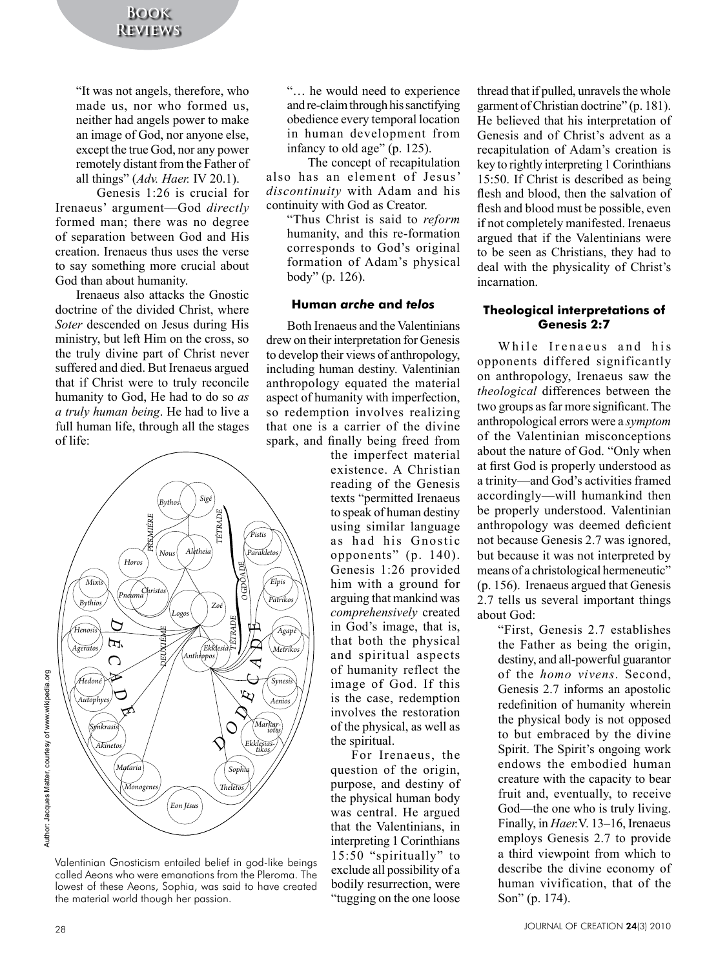"It was not angels, therefore, who made us, nor who formed us, neither had angels power to make an image of God, nor anyone else, except the true God, nor any power remotely distant from the Father of all things" (*Adv. Haer.* IV 20.1).

Genesis 1:26 is crucial for Irenaeus' argument—God *directly* formed man; there was no degree of separation between God and His creation. Irenaeus thus uses the verse to say something more crucial about God than about humanity.

Irenaeus also attacks the Gnostic doctrine of the divided Christ, where *Soter* descended on Jesus during His ministry, but left Him on the cross, so the truly divine part of Christ never suffered and died. But Irenaeus argued that if Christ were to truly reconcile humanity to God, He had to do so *as a truly human being*. He had to live a full human life, through all the stages of life:



Valentinian Gnosticism entailed belief in god-like beings called Aeons who were emanations from the Pleroma. The lowest of these Aeons, Sophia, was said to have created the material world though her passion.

"… he would need to experience and re-claim through his sanctifying obedience every temporal location in human development from infancy to old age" (p. 125).

The concept of recapitulation also has an element of Jesus' *discontinuity* with Adam and his continuity with God as Creator.

"Thus Christ is said to *reform* humanity, and this re-formation corresponds to God's original formation of Adam's physical body" (p. 126).

#### **Human** *arche* **and** *telos*

Both Irenaeus and the Valentinians drew on their interpretation for Genesis to develop their views of anthropology, including human destiny. Valentinian anthropology equated the material aspect of humanity with imperfection, so redemption involves realizing that one is a carrier of the divine spark, and finally being freed from

the imperfect material existence. A Christian reading of the Genesis texts "permitted Irenaeus to speak of human destiny using similar language as had his Gnostic opponents" (p. 140). Genesis 1:26 provided him with a ground for arguing that mankind was *comprehensively* created in God's image, that is, that both the physical and spiritual aspects of humanity reflect the image of God. If this is the case, redemption involves the restoration of the physical, as well as the spiritual.

For Irenaeus, the question of the origin, purpose, and destiny of the physical human body was central. He argued that the Valentinians, in interpreting 1 Corinthians 15:50 "spiritually" to exclude all possibility of a bodily resurrection, were "tugging on the one loose

thread that if pulled, unravels the whole garment of Christian doctrine" (p. 181). He believed that his interpretation of Genesis and of Christ's advent as a recapitulation of Adam's creation is key to rightly interpreting 1 Corinthians 15:50. If Christ is described as being flesh and blood, then the salvation of flesh and blood must be possible, even if not completely manifested. Irenaeus argued that if the Valentinians were to be seen as Christians, they had to deal with the physicality of Christ's incarnation.

## **Theological interpretations of Genesis 2:7**

While Irenaeus and his opponents differed significantly on anthropology, Irenaeus saw the *theological* differences between the two groups as far more significant. The anthropological errors were a *symptom*  of the Valentinian misconceptions about the nature of God. "Only when at first God is properly understood as a trinity—and God's activities framed accordingly—will humankind then be properly understood. Valentinian anthropology was deemed deficient not because Genesis 2.7 was ignored, but because it was not interpreted by means of a christological hermeneutic" (p. 156). Irenaeus argued that Genesis 2.7 tells us several important things about God:

> "First, Genesis 2.7 establishes the Father as being the origin, destiny, and all-powerful guarantor of the *homo vivens*. Second, Genesis 2.7 informs an apostolic redefinition of humanity wherein the physical body is not opposed to but embraced by the divine Spirit. The Spirit's ongoing work endows the embodied human creature with the capacity to bear fruit and, eventually, to receive God—the one who is truly living. Finally, in *Haer.*V. 13–16, Irenaeus employs Genesis 2.7 to provide a third viewpoint from which to describe the divine economy of human vivification, that of the Son" (p. 174).